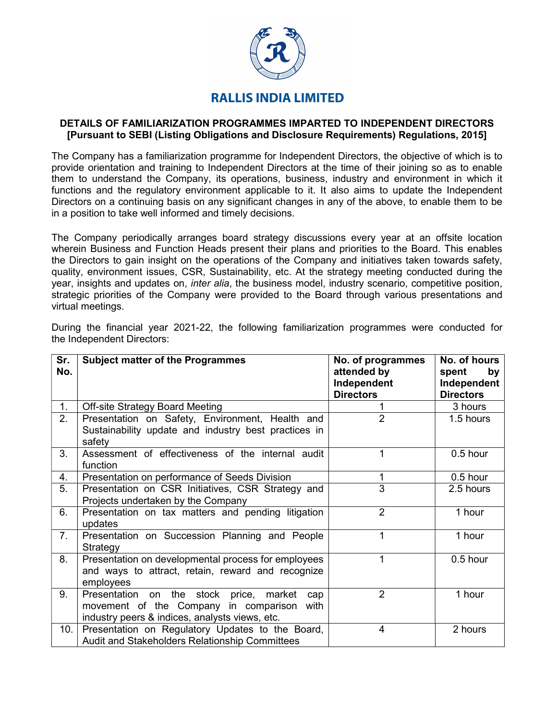

## **RALLIS INDIA LIMITED**

## DETAILS OF FAMILIARIZATION PROGRAMMES IMPARTED TO INDEPENDENT DIRECTORS [Pursuant to SEBI (Listing Obligations and Disclosure Requirements) Regulations, 2015]

The Company has a familiarization programme for Independent Directors, the objective of which is to provide orientation and training to Independent Directors at the time of their joining so as to enable them to understand the Company, its operations, business, industry and environment in which it functions and the regulatory environment applicable to it. It also aims to update the Independent Directors on a continuing basis on any significant changes in any of the above, to enable them to be in a position to take well informed and timely decisions.

The Company periodically arranges board strategy discussions every year at an offsite location wherein Business and Function Heads present their plans and priorities to the Board. This enables the Directors to gain insight on the operations of the Company and initiatives taken towards safety, quality, environment issues, CSR, Sustainability, etc. At the strategy meeting conducted during the year, insights and updates on, *inter alia*, the business model, industry scenario, competitive position, strategic priorities of the Company were provided to the Board through various presentations and virtual meetings.

| Sr.<br>No. | <b>Subject matter of the Programmes</b>                                                                                                              | No. of programmes<br>attended by<br>Independent<br><b>Directors</b> | No. of hours<br>spent<br>by<br>Independent<br><b>Directors</b> |
|------------|------------------------------------------------------------------------------------------------------------------------------------------------------|---------------------------------------------------------------------|----------------------------------------------------------------|
| 1.         | <b>Off-site Strategy Board Meeting</b>                                                                                                               |                                                                     | 3 hours                                                        |
| 2.         | Presentation on Safety, Environment, Health and<br>Sustainability update and industry best practices in<br>safety                                    | $\overline{2}$                                                      | 1.5 hours                                                      |
| 3.         | Assessment of effectiveness of the internal audit<br>function                                                                                        | 1                                                                   | $0.5$ hour                                                     |
| 4.         | Presentation on performance of Seeds Division                                                                                                        | 1                                                                   | $0.5$ hour                                                     |
| 5.         | Presentation on CSR Initiatives, CSR Strategy and<br>Projects undertaken by the Company                                                              | $\overline{3}$                                                      | 2.5 hours                                                      |
| 6.         | Presentation on tax matters and pending litigation<br>updates                                                                                        | $\overline{2}$                                                      | 1 hour                                                         |
| 7.         | Presentation on Succession Planning and People<br>Strategy                                                                                           | 1                                                                   | 1 hour                                                         |
| 8.         | Presentation on developmental process for employees<br>and ways to attract, retain, reward and recognize<br>employees                                | 1                                                                   | 0.5 hour                                                       |
| 9.         | on the stock price, market<br>Presentation<br>cap<br>movement of the Company in comparison<br>with<br>industry peers & indices, analysts views, etc. | $\overline{2}$                                                      | 1 hour                                                         |
| 10.        | Presentation on Regulatory Updates to the Board,<br>Audit and Stakeholders Relationship Committees                                                   | $\overline{4}$                                                      | 2 hours                                                        |

During the financial year 2021-22, the following familiarization programmes were conducted for the Independent Directors: